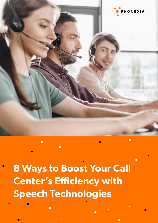

**8 Ways to Boost Your Call Center's Efficiency with Speech Technologies**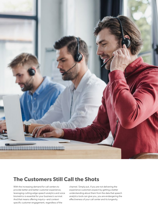

#### **The Customers Still Call the Shots**

With the increasing demand for call centers to provide better and better customer experience, leveraging cutting‑edge speech analytics and voice biometrics is essential for your business's survival. And that means offering inquiry—and contextspecific customer engagement, regardless of the

channel. Simply put, if you are not delivering the experience customers expect by getting a better understanding about them from the data that speech analytics tools can give you, you are endangering the effectiveness of your call center and its longevity.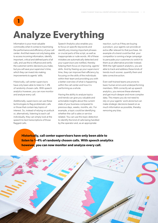# T **Analyze Everything**

Information is your most valuable commodity when it comes to maximizing the performance and efficiency of your call center. And that means not only being able to access incoming information, identify important, critical and defined parts of all calls, and use this to influence and verify the customer‑centric decisions you make, but you will save your supervisor's time, which they can invest into making improvements to agents' skills.

Historically, call center supervisors have only been able to listen to 1–4% of randomly chosen calls. With speech analytics however, you can now monitor and analyze every call.

Additionally, supervisors can use these technologies to flag problematic calls or those that contain key topics of interest. So, instead of relying on potluck or, alternatively, listening to each call individually, they can simply look at the speech-to-text transcriptions of those flagged calls.

Speech Analytics also enables you to focus on specific keywords and identify any missing important phrases or crucial parts of the script, as well as inappropriate or rude words. All of these mistakes are automatically detected and your supervisors are notified, thereby helping them focus on improving agents' skills. And by freeing up your supervisors' time, they can improve their efficiency by focusing on the skills of the individuals within their team and providing you with a better overview of what is happening within the call center and how it is performing as a whole.

Having the ability to analyze topics and trends can give you valuable and actionable insights about the current state of your business compared to previous days, weeks, months, etc. For example, a topic could be identifying whether the call is sales or service related. You can use this topic detection to identify the kind of calls being handled by the operator and, as an appropriate

reaction, such as if they are buying a product, your agents can provide an extra offer relevant to that purchase. An example of a trend could be that your competitor is running a large campaign to persuade your customers to switch to them as an alternative provider instead. With the right speech analytics, you are able to track and address these kinds of trends much sooner, quantify them and take corrective action.

Even well-trained teams are prone to basic human errors and underperforming members. With correctly set up speech analytics, you remove these elements and get much deeper and more complex data. This means you do not need to rely on your agents' work alone but can make strategic decisions based on as much information as possible, thereby removing any bias.

**Historically, call center supervisors have only been able to listen to 1–4% of randomly chosen calls. With speech analytics however, you can now monitor and analyze every call.**

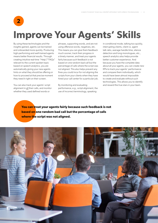#### $\overline{2}$

# **Improve Your Agents' Skills**

By using these technologies and the insights gained, agents can be trained and onboarded more quickly. Producing high-performing and well-trained agents means better financial results. Through creating intuitive real-time "Help"/"FAQs" relevant to the current spoken topic based on speech analytics, you are automatically giving your new agents hints on what they should be offering or how to proceed at that precise moment they need it right on their screen.

You can also track your agents' script alignment in all their calls, and monitor whether they used defined words or

phrases, supporting words, and are not using offensive words, negatives, etc. This means you can give them feedback much sooner, track their progress in a timely manner, and treat your agents fairly because such feedback is not based on one random bad call but the percentage of calls where the script was not aligned. This also helps prevent any fines you could incur for not aligning the scripts from your clients when they have hired your call center for a particular job.

By monitoring and evaluating performance, e.g., script alignment, the use of incorrect terminology, speaking

in conditional mode, talking too quickly, interrupting clients, client vs. agent talk ratio, average handle time, silence detection and long monologues, etc., speech analytics also helps provide better customer experience. And because you have the complete data about all your agents, you can create new KPIs to track your agents' performance and compare them individually, which would have been almost impossible to create and evaluate without such technologies. This allows you to identify and reward the true stars in your team.

**You can treat your agents fairly because such feedback is not based on one random bad call but the percentage of calls where the script was not aligned.**

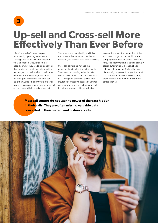#### $\overline{\mathbf{3}}$

# **Up‑sell and Cross‑sell More Effectively Than Ever Before**

"Service to sales" increases your revenues by upselling to customers. Through providing real-time hints on what to offer a particular customer based on what they are talking about at that precise moment, speech analytics helps agents up‑sell and cross‑sell more effectively. For example, hints shown on the agent's screen in real-time can help them upsell the right type of better router to a customer who originally called about issues with Internet connectivity.

This means you can identify and follow the patterns that work and use them to improve your agents' service to sale skills.

Most call centers do not use the power of the data hidden in their calls. They are often missing valuable data concealed in their current and historical calls. Imagine a customer calling their insurance company because of a minor car accident they had on their way back from their summer cottage. Valuable

information about the ownership of the summer cottage can be used in future campaigns focused on special insurance for such accommodation. You can simply search automatically through all your calls (or call transcripts) when that kind of campaign appears, to target the most suitable audience and avoid bothering those people who are not into summer cottages at all.

**Most call centers do not use the power of the data hidden in their calls. They are often missing valuable data concealed in their current and historical calls.**

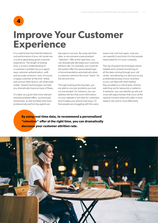$\blacktriangle$ 

# **Improve Your Customer Experience**

It is a well-known fact that the behavior and performance of your call center are crucial to generating good customer experience. The length of waiting time, a correct understanding of a customer's problem by your agent, easy customer authentication, swift and accurate solutions—and, of course, a happy customer at the end—these, and various other factors, are what really matter. Speech technologies can help you dramatically improve many of these.

It is taken as a given that more relevant and personalized offers, as previously mentioned, as well as better and more professionally performing agents are

key ways to success. By using real-time data, to recommend a personalized "retention" offer at the right time, you can dramatically decrease your customer attrition rate. For example, you could let the system offer this personalized type of recommendation automatically when a customer mentions the word "leave" for the second time.

Through looking at the big data, you are able to uncover problems you had no clue existed. For instance, you can address the fact that some information on your website is not clear for customers and it makes your phone lines busy. Or that people are struggling with the same

issues over and over again, now you can quantify it and show it to the people responsible for it in your company.

The use of speech technologies means reliable and constant monitoring of all the data coming through your call center, and allowing it to alert you to any problematical areas of your business so you can deal with them before they escalate to a critical level. And by watching out for keywords or patterns in behavior, you can identify up‑sell and cross‑sell opportunities that occur at the optimal moment when the caller is most ready to be sold to more effectively.

**By using real‑time data, to recommend a personalized "retention" offer at the right time, you can dramatically decrease your customer attrition rate.**

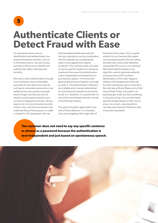#### 5

### **Authenticate Clients or Detect Fraud with Ease**

For businesses where secure identification and authentication can prevent fraudulent activities, such as in the finance sector, the use of voice biometrics allows you to identify and authenticate callers with ease and certainty.

Not only is client authentication through voice biometrics very comfortable, especially for the client since they do not have to remember passwords or any additional security questions people tend to forget, but they also do not need to use any special devices such as retina or fingerprint scanners. All you need to do is to record several seconds of their voice, with their permission and understanding of the purpose, to create a voiceprint. All subsequent calls can

then be authenticated automatically during a naturally occurring conversation with the operator by comparing the caller's voice against the original voiceprint. The customer does not need to say any specific sentence or phrase as a password because the authentication is text-independent and based only on spontaneous speech. A minimal and appropriate amount of speech is enough to verify it. This authentication method is very reliable and is being implemented by many financial institutions around the world. It is, therefore, no surprise that it is one of the most frequent trends currently in the financial industry.

The same principle is applicable to the area of fraud detection. For example, if you are struggling with a high ratio of fraudulent micro‑loans, this is a great solution for you because the system can recognize people who are calling the bank with various fake identities using stolen IDs or just a non‑existing/ fabricated identity based on the algorithm used to generate authentic social security and ID numbers. Identification of the caller happens silently in the background of the call. So when somebody calls as Clark Kent, the next day as Bruce Wayne and a third time as Peter Parker, the system can automatically notify you that something is seriously wrong. You can then easily blacklist people based on their voices alone. As a result, voice biometrics can help save financial institutions their money and reputation.

**The customer does not need to say any specific sentence or phrase as a password because the authentication is text‑independent and just based on spontaneous speech.**

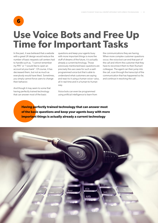#### 6

# **Use Voice Bots and Free Up Time for Important Tasks**

In the past, it was believed that a website with a great UX design would reduce the number of basic requests call centers had to handle such as, "I cannot remember my PIN" or "I would like to open an account at your bank". Of course, it has decreased them, but not as much as everybody would have liked. Sometimes, you simply cannot force users to change their behavior.

And though it may seem to some that having perfectly trained technology that can answer most of the basic

questions and keep your agents busy with more important things is more the stuff of dreams of the future, it is actually already a current technology. Those previously mentioned basic questions are precisely the use cases for such a wellprogrammed voice bot that is able to understand what customers are saying and react to it using a human voice—plus, all in real time and in a human-to-human way.

Voice bots can even be programmed using artificial intelligence to learn from the communications they are having. When more complex customer questions occur, the voice bot can end that part of the call and inform the customer that they have to reconnect them to their (human) colleague. The agent can then jump into the call, scan through the transcript of the communication that has happened so far, and continue in resolving the call.

**Having perfectly trained technology that can answer most of the basic questions and keep your agents busy with more important things is actually already a current technology**

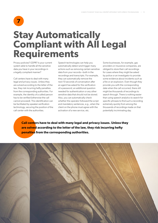$\overline{7}$ 

# **Stay Automatically Compliant with All Legal Requirements**

Privacy policies? GDPR? Is your current system able to handle all the sensitive data you have in your recordings in a legally compliant manner?

Call centers have to deal with many legal and privacy issues. Unless they are solved according to the letter of the law, they risk incurring hefty penalties from the corresponding authorities. For example, the identity of a called person has to be verified (otherwise the call cannot proceed). This identification can be facilitated by speaker‑verification technology, securing the position of the call center with the authorities.

Speech technologies can help you automatically detect and trigger many actions such as removing certain sensitive data from your records—both in the recordings and transcripts. For example, they can automatically remove the next 10 seconds of conversation after an agent has asked for the verification of a password, an additional question needed for authentication or any other sensitive data that should not be stored. Also, you can automatically check whether the operator followed the script and mandatory sentences, e.g., when the client on the phone must agree with the activation of a new service, etc.

Some businesses, for example, gas providers or insurance companies, are obliged to store their call recordings for cases where they might be asked by police or an investigator to provide some evidence about incidents such as a fire or an explosion. Even though they provide you with the corresponding date when the call occurred, there still might be thousands of recordings to search through. There is nothing easier than using speech analytics to search for specific phrases to find such a recording extremely quickly from among the thousands of recordings made on that potentially incriminating day.

**Call centers have to deal with many legal and privacy issues. Unless they are solved according to the letter of the law, they risk incurring hefty penalties from the corresponding authorities.**

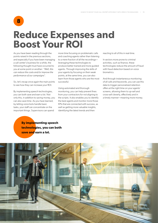#### 8

## **Reduce Expenses and Boost Your ROI**

As you have been reading through the points raised in the previous sections, and especially if you have been managing a call center's business for a while, the following thought must have occurred to you at some point or another: *"Well, this can reduce the costs and/or improve the performance of our campaigns".*

So, let's recap once again the main points to see how they can increase your ROI.

By implementing speech technologies, you can both save and earn a lot. Not only this, in addition to saving money, you can also save time. As you have learned, by letting voice bots handle basic tasks, your staff can concentrate on the important things. Supervisors can spend

more time focusing on problematic calls and coaching agents rather than listening to a mere fraction of all the recordings leveraging these technologies to produce better trained and more guided agents. Through improving the skills of your agents by focusing on their weak points, at the same time, you can also learn from those agents who are the most successful.

Using automated and thorough monitoring, you can help prevent fines from your contractors for not aligning to the scripts. It also enables you to identify the best agents and monitor more those KPIs that are connected with success, as well as getting more valuable insights, identifying the latest trends and then

reacting to all of this in real-time.

In sectors more prone to criminal activities, such as finance, these technologies reduce the amount of fraud with fraud detection based on voice biometrics.

And through instantaneous monitoring of all calls and keywords, you can use this data to trigger personalized retention offers at the right time on your agents' screens, allowing them to up-sell and cross‑sell cleverly, effectively and in a timely manner—meaning more money.

**By implementing speech technologies, you can both save and earn a lot.**